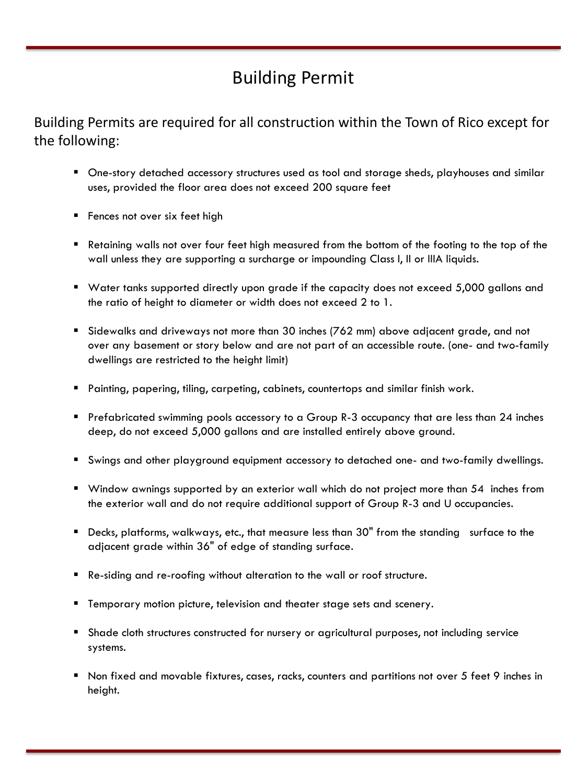# Building Permit

Building Permits are required for all construction within the Town of Rico except for the following:

- One-story detached accessory structures used as tool and storage sheds, playhouses and similar uses, provided the floor area does not exceed 200 square feet
- Fences not over six feet high
- Retaining walls not over four feet high measured from the bottom of the footing to the top of the wall unless they are supporting a surcharge or impounding Class I, II or IIIA liquids.
- Water tanks supported directly upon grade if the capacity does not exceed 5,000 gallons and the ratio of height to diameter or width does not exceed 2 to 1.
- Sidewalks and driveways not more than 30 inches (762 mm) above adjacent grade, and not over any basement or story below and are not part of an accessible route. (one- and two-family dwellings are restricted to the height limit)
- Painting, papering, tiling, carpeting, cabinets, countertops and similar finish work.
- Prefabricated swimming pools accessory to a Group R-3 occupancy that are less than 24 inches deep, do not exceed 5,000 gallons and are installed entirely above ground.
- Swings and other playground equipment accessory to detached one- and two-family dwellings.
- Window awnings supported by an exterior wall which do not project more than 54 inches from the exterior wall and do not require additional support of Group R-3 and U occupancies.
- Decks, platforms, walkways, etc., that measure less than 30" from the standing surface to the adjacent grade within 36" of edge of standing surface.
- Re-siding and re-roofing without alteration to the wall or roof structure.
- Temporary motion picture, television and theater stage sets and scenery.
- Shade cloth structures constructed for nursery or agricultural purposes, not including service systems.
- Non fixed and movable fixtures, cases, racks, counters and partitions not over 5 feet 9 inches in height.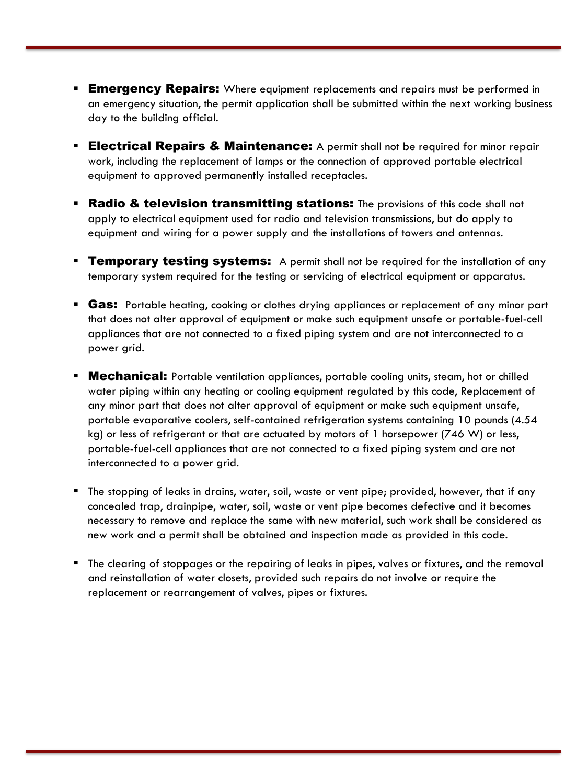- **Emergency Repairs:** Where equipment replacements and repairs must be performed in an emergency situation, the permit application shall be submitted within the next working business day to the building official.
- **Electrical Repairs & Maintenance:** A permit shall not be required for minor repair work, including the replacement of lamps or the connection of approved portable electrical equipment to approved permanently installed receptacles.
- **Radio & television transmitting stations:** The provisions of this code shall not apply to electrical equipment used for radio and television transmissions, but do apply to equipment and wiring for a power supply and the installations of towers and antennas.
- **Temporary testing systems:** A permit shall not be required for the installation of any temporary system required for the testing or servicing of electrical equipment or apparatus.
- **Gas:** Portable heating, cooking or clothes drying appliances or replacement of any minor part that does not alter approval of equipment or make such equipment unsafe or portable-fuel-cell appliances that are not connected to a fixed piping system and are not interconnected to a power grid.
- **Mechanical:** Portable ventilation appliances, portable cooling units, steam, hot or chilled water piping within any heating or cooling equipment regulated by this code, Replacement of any minor part that does not alter approval of equipment or make such equipment unsafe, portable evaporative coolers, self-contained refrigeration systems containing 10 pounds (4.54 kg) or less of refrigerant or that are actuated by motors of 1 horsepower (746 W) or less, portable-fuel-cell appliances that are not connected to a fixed piping system and are not interconnected to a power grid.
- The stopping of leaks in drains, water, soil, waste or vent pipe; provided, however, that if any concealed trap, drainpipe, water, soil, waste or vent pipe becomes defective and it becomes necessary to remove and replace the same with new material, such work shall be considered as new work and a permit shall be obtained and inspection made as provided in this code.
- The clearing of stoppages or the repairing of leaks in pipes, valves or fixtures, and the removal and reinstallation of water closets, provided such repairs do not involve or require the replacement or rearrangement of valves, pipes or fixtures.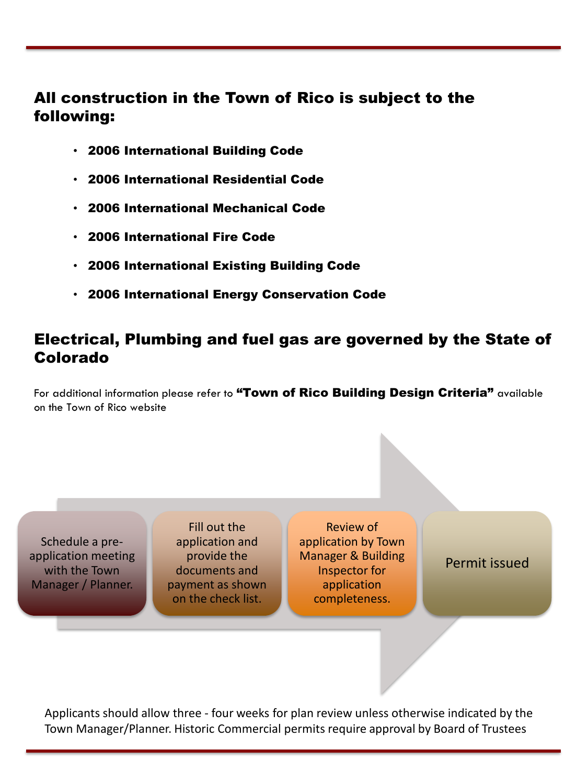# All construction in the Town of Rico is subject to the following:

- 2006 International Building Code
- 2006 International Residential Code
- 2006 International Mechanical Code
- 2006 International Fire Code
- 2006 International Existing Building Code
- 2006 International Energy Conservation Code

# Electrical, Plumbing and fuel gas are governed by the State of Colorado

For additional information please refer to "Town of Rico Building Design Criteria" available on the Town of Rico website

Schedule a preapplication meeting with the Town Manager / Planner.

Fill out the application and provide the documents and payment as shown on the check list.

Review of application by Town Manager & Building Inspector for application completeness.

Permit issued

Applicants should allow three - four weeks for plan review unless otherwise indicated by the Town Manager/Planner. Historic Commercial permits require approval by Board of Trustees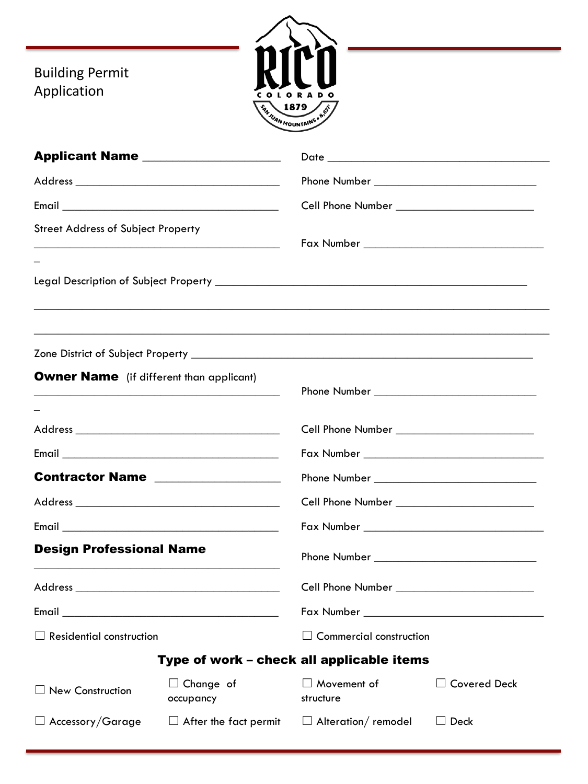Building Permit Application



| Applicant Name __________________                                                                                                                                 |                                           |                                            |                     |
|-------------------------------------------------------------------------------------------------------------------------------------------------------------------|-------------------------------------------|--------------------------------------------|---------------------|
|                                                                                                                                                                   |                                           |                                            |                     |
| <b>Street Address of Subject Property</b><br><u> Alexandria de la contrada de la contrada de la contrada de la contrada de la contrada de la contrada de la c</u> |                                           |                                            |                     |
|                                                                                                                                                                   |                                           |                                            |                     |
|                                                                                                                                                                   |                                           |                                            |                     |
| <b>Owner Name</b> (if different than applicant)                                                                                                                   |                                           |                                            |                     |
|                                                                                                                                                                   |                                           | Cell Phone Number <b>Cell Phone Number</b> |                     |
|                                                                                                                                                                   |                                           |                                            |                     |
| Contractor Name                                                                                                                                                   |                                           |                                            |                     |
|                                                                                                                                                                   |                                           |                                            |                     |
|                                                                                                                                                                   |                                           |                                            |                     |
| <b>Design Professional Name</b>                                                                                                                                   |                                           |                                            |                     |
|                                                                                                                                                                   |                                           | Cell Phone Number ________________________ |                     |
|                                                                                                                                                                   |                                           |                                            |                     |
| $\Box$ Residential construction                                                                                                                                   |                                           | $\Box$ Commercial construction             |                     |
|                                                                                                                                                                   | Type of work - check all applicable items |                                            |                     |
| $\Box$ New Construction                                                                                                                                           | $\Box$ Change of<br>occupancy             | Movement of<br>structure                   | <b>Covered Deck</b> |
| $\Box$ Accessory/Garage                                                                                                                                           | $\Box$ After the fact permit              | Alteration/remodel                         | $\Box$ Deck         |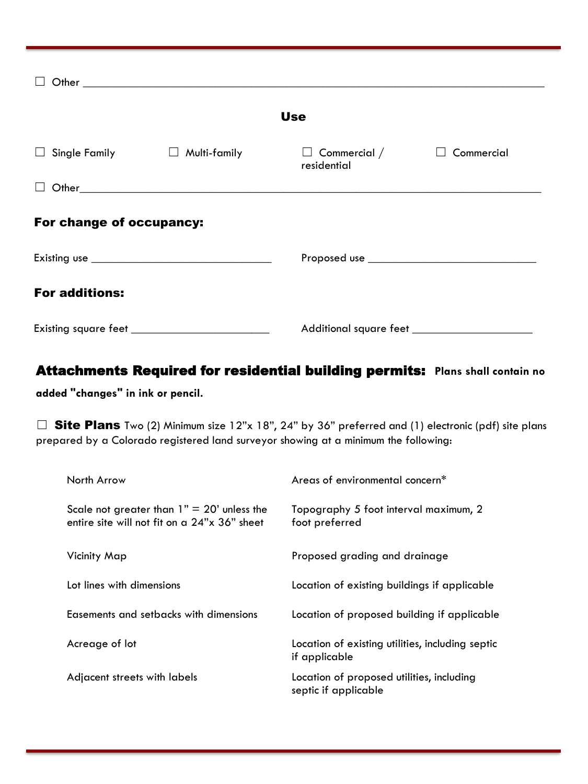| <b>Use</b>               |                                   |                                    |            |  |
|--------------------------|-----------------------------------|------------------------------------|------------|--|
| $\Box$                   | Single Family $\Box$ Multi-family | $\Box$ Commercial /<br>residential | Commercial |  |
|                          |                                   |                                    |            |  |
| For change of occupancy: |                                   |                                    |            |  |
|                          |                                   |                                    |            |  |
| <b>For additions:</b>    |                                   |                                    |            |  |
|                          |                                   |                                    |            |  |

# Attachments Required for residential building permits: **Plans shall contain no**

**added "changes" in ink or pencil.**

□ Site Plans Two (2) Minimum size 12"x 18", 24" by 36" preferred and (1) electronic (pdf) site plans prepared by a Colorado registered land surveyor showing at a minimum the following:

| North Arrow                                                                                  | Areas of environmental concern <sup>*</sup>                       |
|----------------------------------------------------------------------------------------------|-------------------------------------------------------------------|
| Scale not greater than $1" = 20'$ unless the<br>entire site will not fit on a 24"x 36" sheet | Topography 5 foot interval maximum, 2<br>foot preferred           |
| Vicinity Map                                                                                 | Proposed grading and drainage                                     |
| Lot lines with dimensions                                                                    | Location of existing buildings if applicable                      |
| Easements and setbacks with dimensions                                                       | Location of proposed building if applicable                       |
| Acreage of lot                                                                               | Location of existing utilities, including septic<br>if applicable |
| Adjacent streets with labels                                                                 | Location of proposed utilities, including<br>septic if applicable |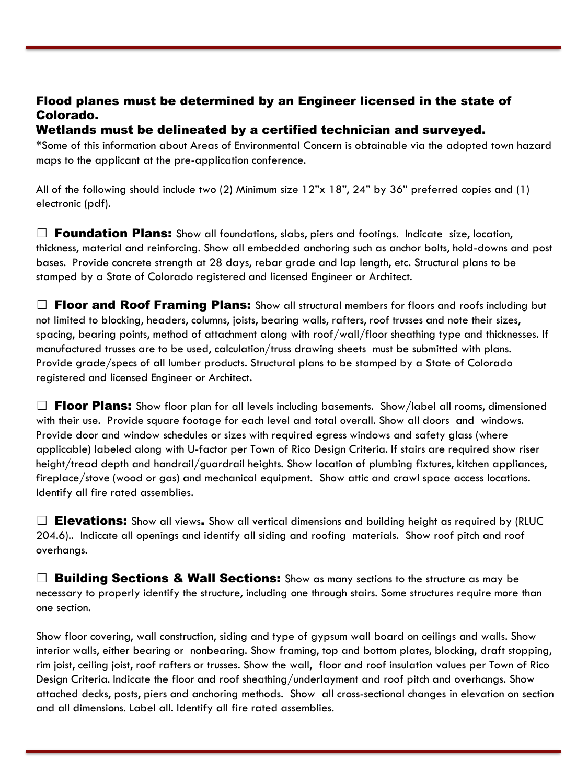### Flood planes must be determined by an Engineer licensed in the state of Colorado.

### Wetlands must be delineated by a certified technician and surveyed.

**\***Some of this information about Areas of Environmental Concern is obtainable via the adopted town hazard maps to the applicant at the pre-application conference.

All of the following should include two (2) Minimum size 12"x 18", 24" by 36" preferred copies and (1) electronic (pdf).

 $\Box$  **Foundation Plans:** Show all foundations, slabs, piers and footings. Indicate size, location, thickness, material and reinforcing. Show all embedded anchoring such as anchor bolts, hold-downs and post bases. Provide concrete strength at 28 days, rebar grade and lap length, etc. Structural plans to be stamped by a State of Colorado registered and licensed Engineer or Architect.

 $\Box$  Floor and Roof Framing Plans: Show all structural members for floors and roofs including but not limited to blocking, headers, columns, joists, bearing walls, rafters, roof trusses and note their sizes, spacing, bearing points, method of attachment along with roof/wall/floor sheathing type and thicknesses. If manufactured trusses are to be used, calculation/truss drawing sheets must be submitted with plans. Provide grade/specs of all lumber products. Structural plans to be stamped by a State of Colorado registered and licensed Engineer or Architect.

 $\Box$  Floor Plans: Show floor plan for all levels including basements. Show/label all rooms, dimensioned with their use. Provide square footage for each level and total overall. Show all doors and windows. Provide door and window schedules or sizes with required egress windows and safety glass (where applicable) labeled along with U-factor per Town of Rico Design Criteria. If stairs are required show riser height/tread depth and handrail/guardrail heights. Show location of plumbing fixtures, kitchen appliances, fireplace/stove (wood or gas) and mechanical equipment. Show attic and crawl space access locations. Identify all fire rated assemblies.

 $\Box$  Elevations: Show all views. Show all vertical dimensions and building height as required by (RLUC 204.6).. Indicate all openings and identify all siding and roofing materials. Show roof pitch and roof overhangs.

 $\Box$  Building Sections & Wall Sections: Show as many sections to the structure as may be necessary to properly identify the structure, including one through stairs. Some structures require more than one section.

Show floor covering, wall construction, siding and type of gypsum wall board on ceilings and walls. Show interior walls, either bearing or nonbearing. Show framing, top and bottom plates, blocking, draft stopping, rim joist, ceiling joist, roof rafters or trusses. Show the wall, floor and roof insulation values per Town of Rico Design Criteria. Indicate the floor and roof sheathing/underlayment and roof pitch and overhangs. Show attached decks, posts, piers and anchoring methods. Show all cross-sectional changes in elevation on section and all dimensions. Label all. Identify all fire rated assemblies.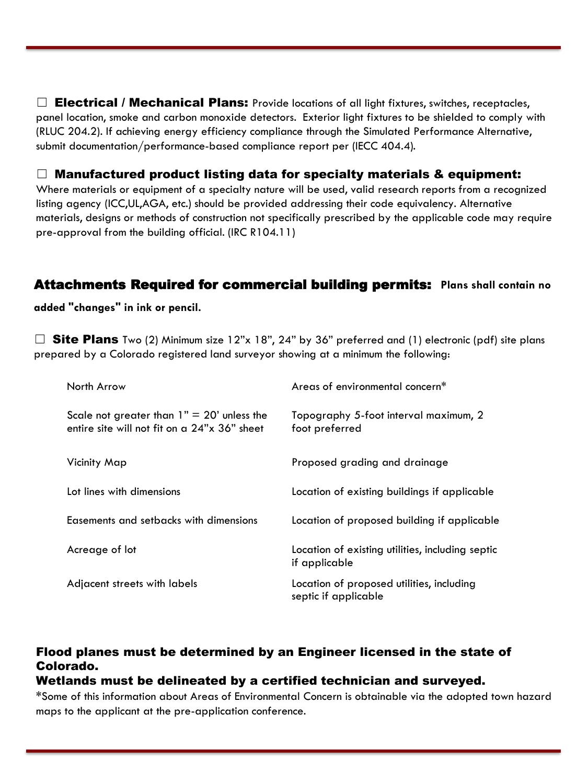$\Box$  Electrical / Mechanical Plans: Provide locations of all light fixtures, switches, receptacles, panel location, smoke and carbon monoxide detectors. Exterior light fixtures to be shielded to comply with (RLUC 204.2). If achieving energy efficiency compliance through the Simulated Performance Alternative, submit documentation/performance-based compliance report per (IECC 404.4).

 $\Box$  Manufactured product listing data for specialty materials & equipment:

Where materials or equipment of a specialty nature will be used, valid research reports from a recognized listing agency (ICC,UL,AGA, etc.) should be provided addressing their code equivalency. Alternative materials, designs or methods of construction not specifically prescribed by the applicable code may require pre-approval from the building official. (IRC R104.11)

### Attachments Required for commercial building permits: **Plans shall contain no**

**added "changes" in ink or pencil.**

 $\Box$  Site Plans Two (2) Minimum size 12"x 18", 24" by 36" preferred and (1) electronic (pdf) site plans prepared by a Colorado registered land surveyor showing at a minimum the following:

| North Arrow                                                                                  | Areas of environmental concern*                                   |
|----------------------------------------------------------------------------------------------|-------------------------------------------------------------------|
| Scale not greater than $1" = 20'$ unless the<br>entire site will not fit on a 24"x 36" sheet | Topography 5-foot interval maximum, 2<br>foot preferred           |
| Vicinity Map                                                                                 | Proposed grading and drainage                                     |
| Lot lines with dimensions                                                                    | Location of existing buildings if applicable                      |
| Easements and setbacks with dimensions                                                       | Location of proposed building if applicable                       |
| Acreage of lot                                                                               | Location of existing utilities, including septic<br>if applicable |
| Adjacent streets with labels                                                                 | Location of proposed utilities, including<br>septic if applicable |

## Flood planes must be determined by an Engineer licensed in the state of Colorado.

#### Wetlands must be delineated by a certified technician and surveyed.

**\***Some of this information about Areas of Environmental Concern is obtainable via the adopted town hazard maps to the applicant at the pre-application conference.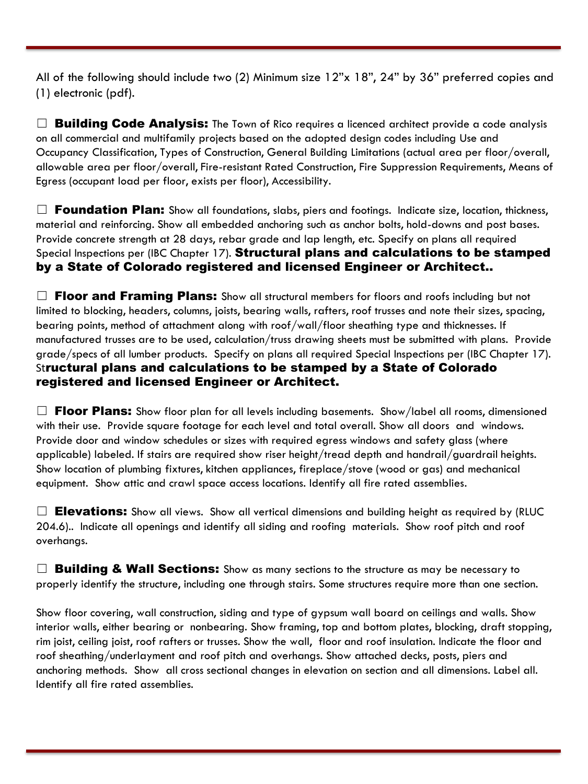All of the following should include two (2) Minimum size 12"x 18", 24" by 36" preferred copies and (1) electronic (pdf).

 $\Box$  **Building Code Analysis:** The Town of Rico requires a licenced architect provide a code analysis on all commercial and multifamily projects based on the adopted design codes including Use and Occupancy Classification, Types of Construction, General Building Limitations (actual area per floor/overall, allowable area per floor/overall, Fire-resistant Rated Construction, Fire Suppression Requirements, Means of Egress (occupant load per floor, exists per floor), Accessibility.

 $\Box$  Foundation Plan: Show all foundations, slabs, piers and footings. Indicate size, location, thickness, material and reinforcing. Show all embedded anchoring such as anchor bolts, hold-downs and post bases. Provide concrete strength at 28 days, rebar grade and lap length, etc. Specify on plans all required Special Inspections per (IBC Chapter 17). Structural plans and calculations to be stamped by a State of Colorado registered and licensed Engineer or Architect..

 $\Box$  Floor and Framing Plans: Show all structural members for floors and roofs including but not limited to blocking, headers, columns, joists, bearing walls, rafters, roof trusses and note their sizes, spacing, bearing points, method of attachment along with roof/wall/floor sheathing type and thicknesses. If manufactured trusses are to be used, calculation/truss drawing sheets must be submitted with plans. Provide grade/specs of all lumber products. Specify on plans all required Special Inspections per (IBC Chapter 17). Structural plans and calculations to be stamped by a State of Colorado registered and licensed Engineer or Architect.

 $\Box$  Floor Plans: Show floor plan for all levels including basements. Show/label all rooms, dimensioned with their use. Provide square footage for each level and total overall. Show all doors and windows. Provide door and window schedules or sizes with required egress windows and safety glass (where applicable) labeled. If stairs are required show riser height/tread depth and handrail/guardrail heights. Show location of plumbing fixtures, kitchen appliances, fireplace/stove (wood or gas) and mechanical equipment. Show attic and crawl space access locations. Identify all fire rated assemblies.

 $\Box$  Elevations: Show all views. Show all vertical dimensions and building height as required by (RLUC 204.6).. Indicate all openings and identify all siding and roofing materials. Show roof pitch and roof overhangs.

 $\Box$  **Building & Wall Sections:** Show as many sections to the structure as may be necessary to properly identify the structure, including one through stairs. Some structures require more than one section.

Show floor covering, wall construction, siding and type of gypsum wall board on ceilings and walls. Show interior walls, either bearing or nonbearing. Show framing, top and bottom plates, blocking, draft stopping, rim joist, ceiling joist, roof rafters or trusses. Show the wall, floor and roof insulation. Indicate the floor and roof sheathing/underlayment and roof pitch and overhangs. Show attached decks, posts, piers and anchoring methods. Show all cross sectional changes in elevation on section and all dimensions. Label all. Identify all fire rated assemblies.